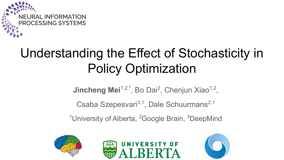

# Understanding the Effect of Stochasticity in Policy Optimization

**Jincheng Mei**<sup>1,2,\*</sup>, Bo Dai<sup>2</sup>, Chenjun Xiao<sup>1,2</sup>,

Csaba Szepesvari<sup>3,1</sup>, Dale Schuurmans<sup>2,1</sup>

<sup>1</sup>University of Alberta, <sup>2</sup>Google Brain, <sup>3</sup>DeepMind





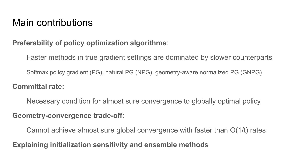# Main contributions

#### **Preferability of policy optimization algorithms**:

Faster methods in true gradient settings are dominated by slower counterparts

Softmax policy gradient (PG), natural PG (NPG), geometry-aware normalized PG (GNPG)

#### **Committal rate:**

Necessary condition for almost sure convergence to globally optimal policy **Geometry-convergence trade-off:**

Cannot achieve almost sure global convergence with faster than O(1/t) rates

**Explaining initialization sensitivity and ensemble methods**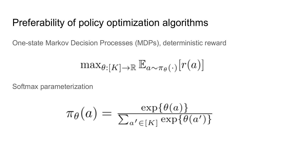### Preferability of policy optimization algorithms

One-state Markov Decision Processes (MDPs), deterministic reward

$$
\max_{\theta:[K]\to\mathbb{R}} \mathbb{E}_{a\sim\pi_{\theta}(\cdot)}[r(a)]
$$

Softmax parameterization

$$
\pi_{\theta}(a) = \frac{\exp\{\theta(a)\}}{\sum_{a' \in [K]} \exp\{\theta(a')\}}
$$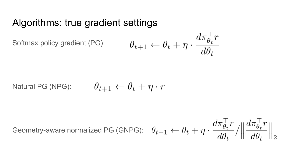#### Algorithms: true gradient settings

Softmax policy gradient (PG):

$$
\theta_{t+1} \leftarrow \theta_t + \eta \cdot \frac{d \pi_{\theta_t}^\top r}{d \theta_t}
$$

Natural PG (NPG): 
$$
\theta_{t+1} \leftarrow \theta_t + \eta \cdot r
$$

Geometry-aware normalized PG (GNPG):  $\theta_{t+1} \leftarrow \theta_t + \eta \cdot \frac{d\pi_{\theta_t}^{\top} r}{d\theta_t} / \left\| \frac{d\pi_{\theta_t}^{\top} r}{d\theta_t} \right\|_2$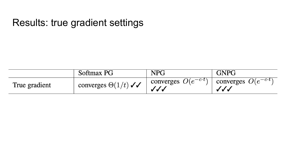# Results: true gradient settings

|               | Softmax PG                 | <b>NPG</b>                                  | <b>GNPG</b>                                   |
|---------------|----------------------------|---------------------------------------------|-----------------------------------------------|
| True gradient | converges $\Theta(1/t)$ // | converges $O(e^{-c \cdot \tau})$   U<br>JJJ | $\cdots$ converges $O(e^{-c \cdot t})$<br>JJJ |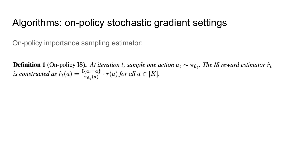### Algorithms: on-policy stochastic gradient settings

On-policy importance sampling estimator:

**Definition 1** (On-policy IS). At iteration t, sample one action  $a_t \sim \pi_{\theta_t}$ . The IS reward estimator  $\hat{r}_t$ is constructed as  $\hat{r}_t(a) = \frac{\mathbb{I}\{a_t = a\}}{\pi_{\theta_t}(a)} \cdot r(a)$  for all  $a \in [K]$ .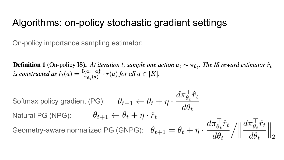#### Algorithms: on-policy stochastic gradient settings

On-policy importance sampling estimator:

**Definition 1** (On-policy IS). At iteration t, sample one action  $a_t \sim \pi_{\theta_t}$ . The IS reward estimator  $\hat{r}_t$ is constructed as  $\hat{r}_t(a) = \frac{\mathbb{I}\{a_t = a\}}{\pi_{\theta} \cdot (a)} \cdot r(a)$  for all  $a \in [K]$ .

Softmax policy gradient (PG): Natural PG (NPG): Geometry-aware normalized PG (GNPG):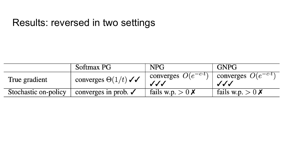### Results: reversed in two settings

|                      | Softmax PG                      | <b>NPG</b>                           | <b>GNPG</b>                          |
|----------------------|---------------------------------|--------------------------------------|--------------------------------------|
| True gradient        | converges $\Theta(1/t)$ //      | converges $O(e^{-c \cdot t})$<br>JJJ | converges $O(e^{-c \cdot t})$<br>JJJ |
| Stochastic on-policy | converges in prob. $\checkmark$ | fails w.p. $> 0 X$                   | fails w.p. $> 0 \times$              |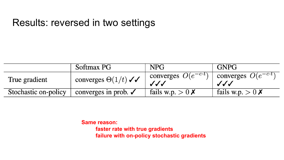#### Results: reversed in two settings

|                      | Softmax PG                      | <b>NPG</b>                           | <b>GNPG</b>                          |
|----------------------|---------------------------------|--------------------------------------|--------------------------------------|
| True gradient        | converges $\Theta(1/t)$ //      | converges $O(e^{-c \cdot t})$<br>JJJ | converges $O(e^{-c \cdot t})$<br>JJJ |
| Stochastic on-policy | converges in prob. $\checkmark$ | fails w.p. $> 0 \times$              | fails w.p. $> 0 \times$              |

**Same reason:**

**faster rate with true gradients failure with on-policy stochastic gradients**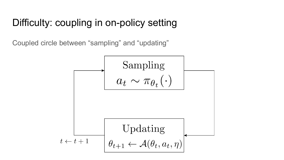# Difficulty: coupling in on-policy setting

Coupled circle between "sampling" and "updating"

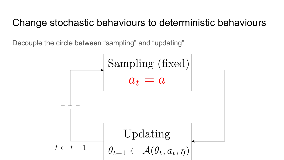#### Change stochastic behaviours to deterministic behaviours

Decouple the circle between "sampling" and "updating"

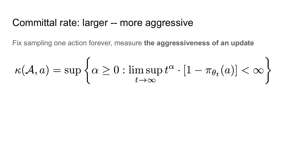#### Committal rate: larger -- more aggressive

Fix sampling one action forever, measure **the aggressiveness of an update**

$$
\kappa(\mathcal{A},a)=\sup\left\{\alpha\geq 0: \limsup_{t\to\infty}t^\alpha\cdot [1-\pi_{\theta_t}(a)]<\infty\right\}
$$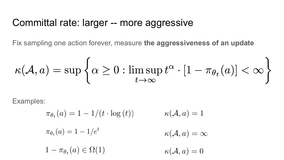#### Committal rate: larger -- more aggressive

Fix sampling one action forever, measure **the aggressiveness of an update**

$$
\kappa(\mathcal{A},a)=\sup\left\{\alpha\geq 0: \limsup_{t\to\infty}t^\alpha\cdot [1-\pi_{\theta_t}(a)]<\infty\right\}
$$

Examples:

$$
\pi_{\theta_t}(a) = 1 - 1/(t \cdot \log(t)) \qquad \kappa(\mathcal{A}, a) = 1
$$
  

$$
\pi_{\theta_t}(a) = 1 - 1/e^t \qquad \kappa(\mathcal{A}, a) = \infty
$$
  

$$
1 - \pi_{\theta_t}(a) \in \Omega(1) \qquad \kappa(\mathcal{A}, a) = 0
$$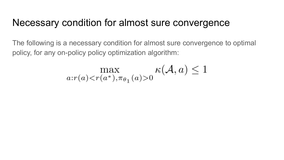### Necessary condition for almost sure convergence

The following is a necessary condition for almost sure convergence to optimal policy, for any on-policy policy optimization algorithm:

$$
\max_{a:r(a)< r(a^*),\pi_{\theta_1}(a)>0} \kappa(\mathcal{A},a) \le 1
$$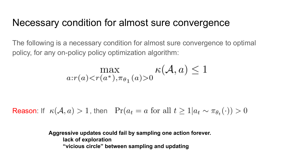#### Necessary condition for almost sure convergence

The following is a necessary condition for almost sure convergence to optimal policy, for any on-policy policy optimization algorithm:

$$
\max_{a:r(a)< r(a^*),\pi_{\theta_1}(a)>0} \kappa(\mathcal{A},a) \le 1
$$

**Reason:** If  $\kappa(\mathcal{A}, a) > 1$ , then  $\Pr(a_t = a \text{ for all } t \geq 1 | a_t \sim \pi_{\theta_t}(\cdot)) > 0$ 

**Aggressive updates could fail by sampling one action forever. lack of exploration "vicious circle" between sampling and updating**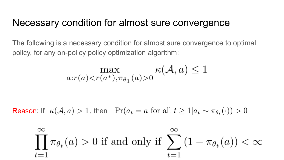#### Necessary condition for almost sure convergence

The following is a necessary condition for almost sure convergence to optimal policy, for any on-policy policy optimization algorithm:

$$
\max_{a:r(a)< r(a^*),\pi_{\theta_1}(a)>0} \kappa(\mathcal{A},a) \le 1
$$

**Reason:** If  $\kappa(\mathcal{A}, a) > 1$ , then  $\Pr(a_t = a \text{ for all } t \geq 1 | a_t \sim \pi_{\theta_t}(\cdot)) > 0$ 

$$
\prod_{t=1}^{\infty} \pi_{\theta_t}(a) > 0
$$
 if and only if 
$$
\sum_{t=1}^{\infty} (1 - \pi_{\theta_t}(a)) < \infty
$$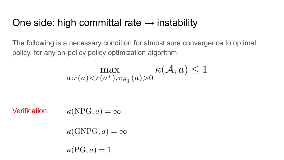### One side: high committal rate  $\rightarrow$  instability

The following is a necessary condition for almost sure convergence to optimal policy, for any on-policy policy optimization algorithm:

$$
\max_{a:r(a)< r(a^*),\pi_{\theta_1}(a)>0} \kappa(\mathcal{A},a) \le 1
$$

Verification:

$$
\kappa(\text{NPG}, a) = \infty
$$

$$
\kappa(\mathrm{GNPG},a)=\infty
$$

 $\kappa(PG, a) = 1$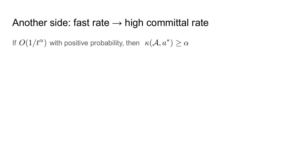#### Another side: fast rate  $\rightarrow$  high committal rate

If  $O(1/t^{\alpha})$  with positive probability, then  $\kappa(\mathcal{A}, a^*) \geq \alpha$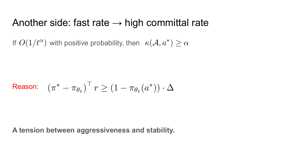#### Another side: fast rate  $\rightarrow$  high committal rate

If  $O(1/t^{\alpha})$  with positive probability, then  $\kappa(\mathcal{A}, a^*) \geq \alpha$ 

$$
\text{Reason:} \quad (\pi^* - \pi_{\theta_t})^\top r \ge (1 - \pi_{\theta_t}(a^*)) \cdot \Delta
$$

**A tension between aggressiveness and stability.**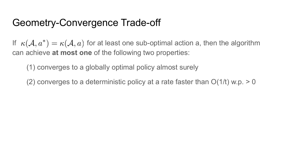If  $\kappa(\mathcal{A}, a^*) = \kappa(\mathcal{A}, a)$  for at least one sub-optimal action a, then the algorithm can achieve **at most one** of the following two properties:

(1) converges to a globally optimal policy almost surely

(2) converges to a deterministic policy at a rate faster than  $O(1/t)$  w.p.  $> 0$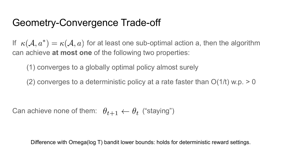If  $\kappa(\mathcal{A}, a^*) = \kappa(\mathcal{A}, a)$  for at least one sub-optimal action a, then the algorithm can achieve **at most one** of the following two properties:

(1) converges to a globally optimal policy almost surely

(2) converges to a deterministic policy at a rate faster than  $O(1/t)$  w.p.  $> 0$ 

Can achieve none of them:  $\theta_{t+1} \leftarrow \theta_t$  ("staying")

Difference with Omega(log T) bandit lower bounds: holds for deterministic reward settings.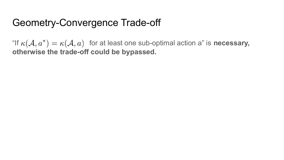"If  $\kappa(\mathcal{A}, a^*) = \kappa(\mathcal{A}, a)$  for at least one sub-optimal action a" is **necessary**, **otherwise the trade-off could be bypassed.**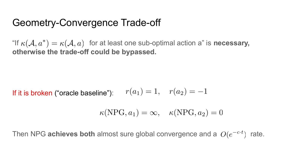"If  $\kappa(\mathcal{A}, a^*) = \kappa(\mathcal{A}, a)$  for at least one sub-optimal action a" is **necessary**, **otherwise the trade-off could be bypassed.**

 $r(a_1) = 1, r(a_2) = -1$ If it is broken ("oracle baseline"):

$$
\kappa(NPG, a_1) = \infty, \quad \kappa(NPG, a_2) = 0
$$

Then NPG **achieves both** almost sure global convergence and a  $O(e^{-c \cdot t})$  rate.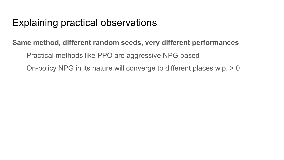# Explaining practical observations

#### **Same method, different random seeds, very different performances**

Practical methods like PPO are aggressive NPG based

On-policy NPG in its nature will converge to different places w.p. > 0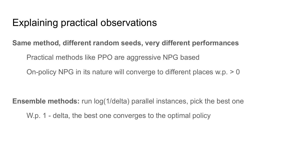### Explaining practical observations

#### **Same method, different random seeds, very different performances**

Practical methods like PPO are aggressive NPG based

On-policy NPG in its nature will converge to different places w.p. > 0

**Ensemble methods:** run log(1/delta) parallel instances, pick the best one

W.p. 1 - delta, the best one converges to the optimal policy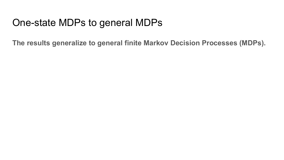# One-state MDPs to general MDPs

**The results generalize to general finite Markov Decision Processes (MDPs).**